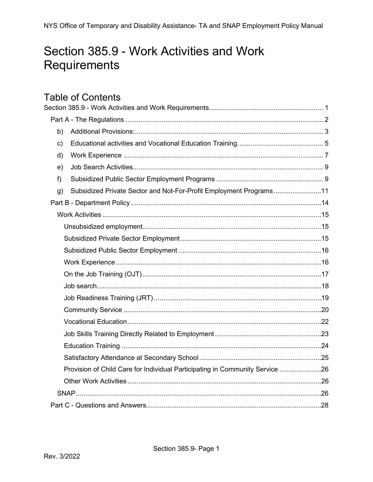# <span id="page-0-0"></span>Section 385.9 - Work Activities and Work Requirements

# **Table of Contents**

| b) |                                                                              |  |
|----|------------------------------------------------------------------------------|--|
| c) |                                                                              |  |
| d) |                                                                              |  |
| e) |                                                                              |  |
| f) |                                                                              |  |
| g) | Subsidized Private Sector and Not-For-Profit Employment Programs11           |  |
|    |                                                                              |  |
|    |                                                                              |  |
|    |                                                                              |  |
|    |                                                                              |  |
|    |                                                                              |  |
|    |                                                                              |  |
|    |                                                                              |  |
|    |                                                                              |  |
|    |                                                                              |  |
|    |                                                                              |  |
|    |                                                                              |  |
|    |                                                                              |  |
|    |                                                                              |  |
|    |                                                                              |  |
|    | Provision of Child Care for Individual Participating in Community Service 26 |  |
|    |                                                                              |  |
|    |                                                                              |  |
|    |                                                                              |  |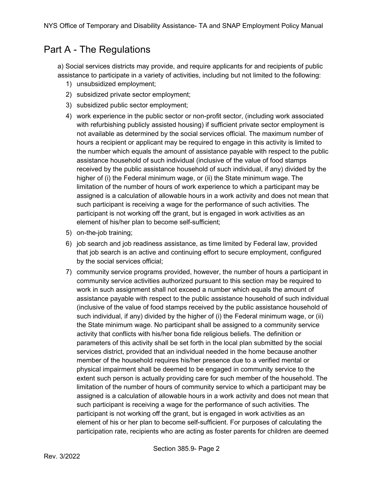## <span id="page-1-0"></span>Part A - The Regulations

a) Social services districts may provide, and require applicants for and recipients of public assistance to participate in a variety of activities, including but not limited to the following:

- 1) unsubsidized employment;
- 2) subsidized private sector employment;
- 3) subsidized public sector employment;
- 4) work experience in the public sector or non-profit sector, (including work associated with refurbishing publicly assisted housing) if sufficient private sector employment is not available as determined by the social services official. The maximum number of hours a recipient or applicant may be required to engage in this activity is limited to the number which equals the amount of assistance payable with respect to the public assistance household of such individual (inclusive of the value of food stamps received by the public assistance household of such individual, if any) divided by the higher of (i) the Federal minimum wage, or (ii) the State minimum wage. The limitation of the number of hours of work experience to which a participant may be assigned is a calculation of allowable hours in a work activity and does not mean that such participant is receiving a wage for the performance of such activities. The participant is not working off the grant, but is engaged in work activities as an element of his/her plan to become self-sufficient;
- 5) on-the-job training;
- 6) job search and job readiness assistance, as time limited by Federal law, provided that job search is an active and continuing effort to secure employment, configured by the social services official;
- 7) community service programs provided, however, the number of hours a participant in community service activities authorized pursuant to this section may be required to work in such assignment shall not exceed a number which equals the amount of assistance payable with respect to the public assistance household of such individual (inclusive of the value of food stamps received by the public assistance household of such individual, if any) divided by the higher of (i) the Federal minimum wage, or (ii) the State minimum wage. No participant shall be assigned to a community service activity that conflicts with his/her bona fide religious beliefs. The definition or parameters of this activity shall be set forth in the local plan submitted by the social services district, provided that an individual needed in the home because another member of the household requires his/her presence due to a verified mental or physical impairment shall be deemed to be engaged in community service to the extent such person is actually providing care for such member of the household. The limitation of the number of hours of community service to which a participant may be assigned is a calculation of allowable hours in a work activity and does not mean that such participant is receiving a wage for the performance of such activities. The participant is not working off the grant, but is engaged in work activities as an element of his or her plan to become self-sufficient. For purposes of calculating the participation rate, recipients who are acting as foster parents for children are deemed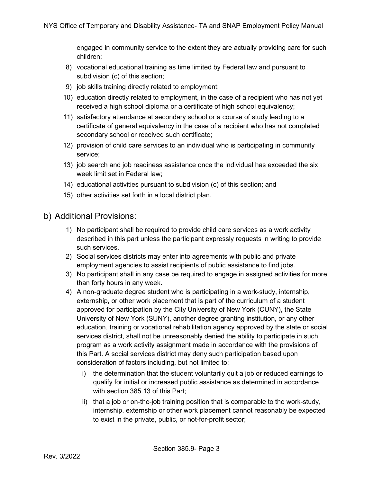engaged in community service to the extent they are actually providing care for such children;

- 8) vocational educational training as time limited by Federal law and pursuant to subdivision (c) of this section;
- 9) job skills training directly related to employment;
- 10) education directly related to employment, in the case of a recipient who has not yet received a high school diploma or a certificate of high school equivalency;
- 11) satisfactory attendance at secondary school or a course of study leading to a certificate of general equivalency in the case of a recipient who has not completed secondary school or received such certificate;
- 12) provision of child care services to an individual who is participating in community service;
- 13) job search and job readiness assistance once the individual has exceeded the six week limit set in Federal law;
- 14) educational activities pursuant to subdivision (c) of this section; and
- 15) other activities set forth in a local district plan.
- <span id="page-2-0"></span>b) Additional Provisions:
	- 1) No participant shall be required to provide child care services as a work activity described in this part unless the participant expressly requests in writing to provide such services.
	- 2) Social services districts may enter into agreements with public and private employment agencies to assist recipients of public assistance to find jobs.
	- 3) No participant shall in any case be required to engage in assigned activities for more than forty hours in any week.
	- 4) A non-graduate degree student who is participating in a work-study, internship, externship, or other work placement that is part of the curriculum of a student approved for participation by the City University of New York (CUNY), the State University of New York (SUNY), another degree granting institution, or any other education, training or vocational rehabilitation agency approved by the state or social services district, shall not be unreasonably denied the ability to participate in such program as a work activity assignment made in accordance with the provisions of this Part. A social services district may deny such participation based upon consideration of factors including, but not limited to:
		- i) the determination that the student voluntarily quit a job or reduced earnings to qualify for initial or increased public assistance as determined in accordance with section 385.13 of this Part;
		- ii) that a job or on-the-job training position that is comparable to the work-study, internship, externship or other work placement cannot reasonably be expected to exist in the private, public, or not-for-profit sector;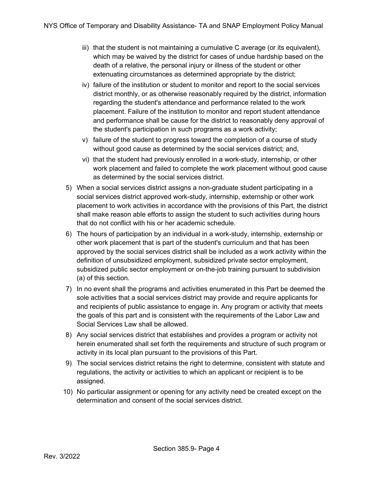- $\sin$  that the student is not maintaining a cumulative C average (or its equivalent), which may be waived by the district for cases of undue hardship based on the death of a relative, the personal injury or illness of the student or other extenuating circumstances as determined appropriate by the district;
- iv) failure of the institution or student to monitor and report to the social services district monthly, or as otherwise reasonably required by the district, information regarding the student's attendance and performance related to the work placement. Failure of the institution to monitor and report student attendance and performance shall be cause for the district to reasonably deny approval of the student's participation in such programs as a work activity;
- v) failure of the student to progress toward the completion of a course of study without good cause as determined by the social services district; and,
- vi) that the student had previously enrolled in a work-study, internship, or other work placement and failed to complete the work placement without good cause as determined by the social services district.
- 5) When a social services district assigns a non-graduate student participating in a social services district approved work-study, internship, externship or other work placement to work activities in accordance with the provisions of this Part, the district shall make reason able efforts to assign the student to such activities during hours that do not conflict with his or her academic schedule.
- 6) The hours of participation by an individual in a work-study, internship, externship or other work placement that is part of the student's curriculum and that has been approved by the social services district shall be included as a work activity within the definition of unsubsidized employment, subsidized private sector employment, subsidized public sector employment or on-the-job training pursuant to subdivision (a) of this section.
- 7) In no event shall the programs and activities enumerated in this Part be deemed the sole activities that a social services district may provide and require applicants for and recipients of public assistance to engage in. Any program or activity that meets the goals of this part and is consistent with the requirements of the Labor Law and Social Services Law shall be allowed.
- 8) Any social services district that establishes and provides a program or activity not herein enumerated shall set forth the requirements and structure of such program or activity in its local plan pursuant to the provisions of this Part.
- 9) The social services district retains the right to determine, consistent with statute and regulations, the activity or activities to which an applicant or recipient is to be assigned.
- 10) No particular assignment or opening for any activity need be created except on the determination and consent of the social services district.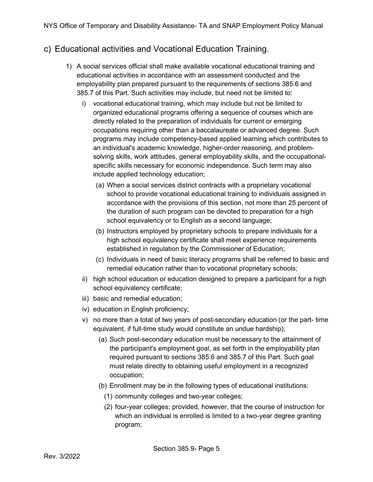### <span id="page-4-0"></span>c) Educational activities and Vocational Education Training.

- 1) A social services official shall make available vocational educational training and educational activities in accordance with an assessment conducted and the employability plan prepared pursuant to the requirements of sections 385.6 and 385.7 of this Part. Such activities may include, but need not be limited to:
	- i) vocational educational training, which may include but not be limited to organized educational programs offering a sequence of courses which are directly related to the preparation of individuals for current or emerging occupations requiring other than a baccalaureate or advanced degree. Such programs may include competency-based applied learning which contributes to an individual's academic knowledge, higher-order reasoning, and problemsolving skills, work attitudes, general employability skills, and the occupationalspecific skills necessary for economic independence. Such term may also include applied technology education;
		- (a) When a social services district contracts with a proprietary vocational school to provide vocational educational training to individuals assigned in accordance with the provisions of this section, not more than 25 percent of the duration of such program can be devoted to preparation for a high school equivalency or to English as a second language;
		- (b) Instructors employed by proprietary schools to prepare individuals for a high school equivalency certificate shall meet experience requirements established in regulation by the Commissioner of Education;
		- (c) Individuals in need of basic literacy programs shall be referred to basic and remedial education rather than to vocational proprietary schools;
	- ii) high school education or education designed to prepare a participant for a high school equivalency certificate;
	- iii) basic and remedial education;
	- iv) education in English proficiency;
	- v) no more than a total of two years of post-secondary education (or the part- time equivalent, if full-time study would constitute an undue hardship);
		- (a) Such post-secondary education must be necessary to the attainment of the participant's employment goal, as set forth in the employability plan required pursuant to sections 385.6 and 385.7 of this Part. Such goal must relate directly to obtaining useful employment in a recognized occupation;
		- (b) Enrollment may be in the following types of educational institutions:
			- (1) community colleges and two-year colleges;
			- (2) four-year colleges; provided, however, that the course of instruction for which an individual is enrolled is limited to a two-year degree granting program;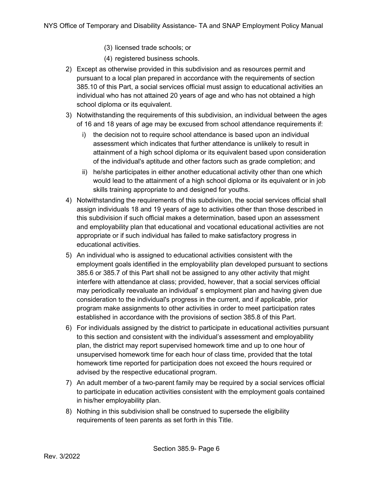- (3) licensed trade schools; or
- (4) registered business schools.
- 2) Except as otherwise provided in this subdivision and as resources permit and pursuant to a local plan prepared in accordance with the requirements of section 385.10 of this Part, a social services official must assign to educational activities an individual who has not attained 20 years of age and who has not obtained a high school diploma or its equivalent.
- 3) Notwithstanding the requirements of this subdivision, an individual between the ages of 16 and 18 years of age may be excused from school attendance requirements if:
	- i) the decision not to require school attendance is based upon an individual assessment which indicates that further attendance is unlikely to result in attainment of a high school diploma or its equivalent based upon consideration of the individual's aptitude and other factors such as grade completion; and
	- ii) he/she participates in either another educational activity other than one which would lead to the attainment of a high school diploma or its equivalent or in job skills training appropriate to and designed for youths.
- 4) Notwithstanding the requirements of this subdivision, the social services official shall assign individuals 18 and 19 years of age to activities other than those described in this subdivision if such official makes a determination, based upon an assessment and employability plan that educational and vocational educational activities are not appropriate or if such individual has failed to make satisfactory progress in educational activities.
- 5) An individual who is assigned to educational activities consistent with the employment goals identified in the employability plan developed pursuant to sections 385.6 or 385.7 of this Part shall not be assigned to any other activity that might interfere with attendance at class; provided, however, that a social services official may periodically reevaluate an individual' s employment plan and having given due consideration to the individual's progress in the current, and if applicable, prior program make assignments to other activities in order to meet participation rates established in accordance with the provisions of section 385.8 of this Part.
- 6) For individuals assigned by the district to participate in educational activities pursuant to this section and consistent with the individual's assessment and employability plan, the district may report supervised homework time and up to one hour of unsupervised homework time for each hour of class time, provided that the total homework time reported for participation does not exceed the hours required or advised by the respective educational program.
- 7) An adult member of a two-parent family may be required by a social services official to participate in education activities consistent with the employment goals contained in his/her employability plan.
- 8) Nothing in this subdivision shall be construed to supersede the eligibility requirements of teen parents as set forth in this Title.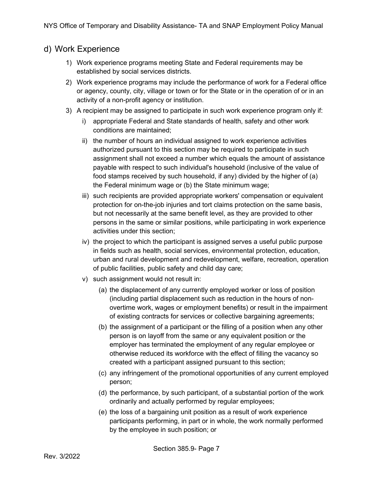#### <span id="page-6-0"></span>d) Work Experience

- 1) Work experience programs meeting State and Federal requirements may be established by social services districts.
- 2) Work experience programs may include the performance of work for a Federal office or agency, county, city, village or town or for the State or in the operation of or in an activity of a non-profit agency or institution.
- 3) A recipient may be assigned to participate in such work experience program only if:
	- i) appropriate Federal and State standards of health, safety and other work conditions are maintained;
	- ii) the number of hours an individual assigned to work experience activities authorized pursuant to this section may be required to participate in such assignment shall not exceed a number which equals the amount of assistance payable with respect to such individual's household (inclusive of the value of food stamps received by such household, if any) divided by the higher of (a) the Federal minimum wage or (b) the State minimum wage;
	- iii) such recipients are provided appropriate workers' compensation or equivalent protection for on-the-job injuries and tort claims protection on the same basis, but not necessarily at the same benefit level, as they are provided to other persons in the same or similar positions, while participating in work experience activities under this section;
	- iv) the project to which the participant is assigned serves a useful public purpose in fields such as health, social services, environmental protection, education, urban and rural development and redevelopment, welfare, recreation, operation of public facilities, public safety and child day care;
	- v) such assignment would not result in:
		- (a) the displacement of any currently employed worker or loss of position (including partial displacement such as reduction in the hours of nonovertime work, wages or employment benefits) or result in the impairment of existing contracts for services or collective bargaining agreements;
		- (b) the assignment of a participant or the filling of a position when any other person is on layoff from the same or any equivalent position or the employer has terminated the employment of any regular employee or otherwise reduced its workforce with the effect of filling the vacancy so created with a participant assigned pursuant to this section;
		- (c) any infringement of the promotional opportunities of any current employed person;
		- (d) the performance, by such participant, of a substantial portion of the work ordinarily and actually performed by regular employees;
		- (e) the loss of a bargaining unit position as a result of work experience participants performing, in part or in whole, the work normally performed by the employee in such position; or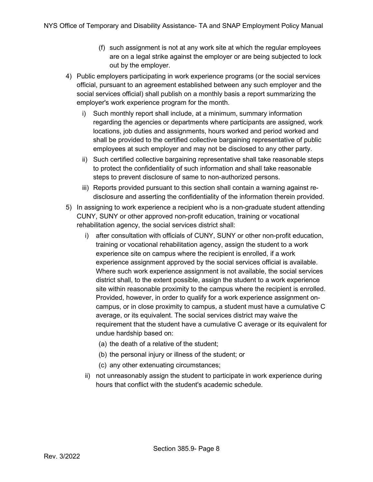- (f) such assignment is not at any work site at which the regular employees are on a legal strike against the employer or are being subjected to lock out by the employer.
- 4) Public employers participating in work experience programs (or the social services official, pursuant to an agreement established between any such employer and the social services official) shall publish on a monthly basis a report summarizing the employer's work experience program for the month.
	- i) Such monthly report shall include, at a minimum, summary information regarding the agencies or departments where participants are assigned, work locations, job duties and assignments, hours worked and period worked and shall be provided to the certified collective bargaining representative of public employees at such employer and may not be disclosed to any other party.
	- ii) Such certified collective bargaining representative shall take reasonable steps to protect the confidentiality of such information and shall take reasonable steps to prevent disclosure of same to non-authorized persons.
	- iii) Reports provided pursuant to this section shall contain a warning against redisclosure and asserting the confidentiality of the information therein provided.
- 5) In assigning to work experience a recipient who is a non-graduate student attending CUNY, SUNY or other approved non-profit education, training or vocational rehabilitation agency, the social services district shall:
	- i) after consultation with officials of CUNY, SUNY or other non-profit education, training or vocational rehabilitation agency, assign the student to a work experience site on campus where the recipient is enrolled, if a work experience assignment approved by the social services official is available. Where such work experience assignment is not available, the social services district shall, to the extent possible, assign the student to a work experience site within reasonable proximity to the campus where the recipient is enrolled. Provided, however, in order to qualify for a work experience assignment oncampus, or in close proximity to campus, a student must have a cumulative C average, or its equivalent. The social services district may waive the requirement that the student have a cumulative C average or its equivalent for undue hardship based on:
		- (a) the death of a relative of the student;
		- (b) the personal injury or illness of the student; or
		- (c) any other extenuating circumstances;
	- ii) not unreasonably assign the student to participate in work experience during hours that conflict with the student's academic schedule.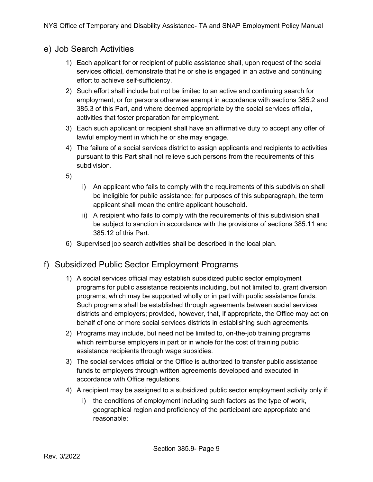### <span id="page-8-0"></span>e) Job Search Activities

- 1) Each applicant for or recipient of public assistance shall, upon request of the social services official, demonstrate that he or she is engaged in an active and continuing effort to achieve self-sufficiency.
- 2) Such effort shall include but not be limited to an active and continuing search for employment, or for persons otherwise exempt in accordance with sections 385.2 and 385.3 of this Part, and where deemed appropriate by the social services official, activities that foster preparation for employment.
- 3) Each such applicant or recipient shall have an affirmative duty to accept any offer of lawful employment in which he or she may engage.
- 4) The failure of a social services district to assign applicants and recipients to activities pursuant to this Part shall not relieve such persons from the requirements of this subdivision.
- 5)
- i) An applicant who fails to comply with the requirements of this subdivision shall be ineligible for public assistance; for purposes of this subparagraph, the term applicant shall mean the entire applicant household.
- ii) A recipient who fails to comply with the requirements of this subdivision shall be subject to sanction in accordance with the provisions of sections 385.11 and 385.12 of this Part.
- 6) Supervised job search activities shall be described in the local plan.

### <span id="page-8-1"></span>f) Subsidized Public Sector Employment Programs

- 1) A social services official may establish subsidized public sector employment programs for public assistance recipients including, but not limited to, grant diversion programs, which may be supported wholly or in part with public assistance funds. Such programs shall be established through agreements between social services districts and employers; provided, however, that, if appropriate, the Office may act on behalf of one or more social services districts in establishing such agreements.
- 2) Programs may include, but need not be limited to, on-the-job training programs which reimburse employers in part or in whole for the cost of training public assistance recipients through wage subsidies.
- 3) The social services official or the Office is authorized to transfer public assistance funds to employers through written agreements developed and executed in accordance with Office regulations.
- 4) A recipient may be assigned to a subsidized public sector employment activity only if:
	- i) the conditions of employment including such factors as the type of work, geographical region and proficiency of the participant are appropriate and reasonable;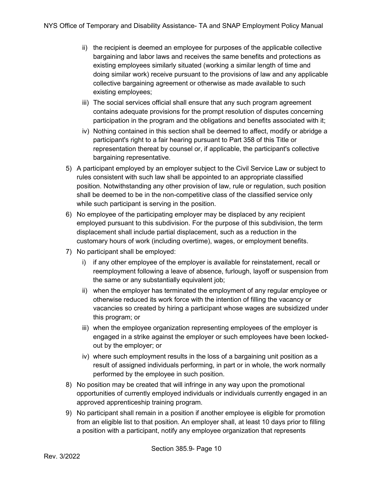- ii) the recipient is deemed an employee for purposes of the applicable collective bargaining and labor laws and receives the same benefits and protections as existing employees similarly situated (working a similar length of time and doing similar work) receive pursuant to the provisions of law and any applicable collective bargaining agreement or otherwise as made available to such existing employees;
- iii) The social services official shall ensure that any such program agreement contains adequate provisions for the prompt resolution of disputes concerning participation in the program and the obligations and benefits associated with it;
- iv) Nothing contained in this section shall be deemed to affect, modify or abridge a participant's right to a fair hearing pursuant to Part 358 of this Title or representation thereat by counsel or, if applicable, the participant's collective bargaining representative.
- 5) A participant employed by an employer subject to the Civil Service Law or subject to rules consistent with such law shall be appointed to an appropriate classified position. Notwithstanding any other provision of law, rule or regulation, such position shall be deemed to be in the non-competitive class of the classified service only while such participant is serving in the position.
- 6) No employee of the participating employer may be displaced by any recipient employed pursuant to this subdivision. For the purpose of this subdivision, the term displacement shall include partial displacement, such as a reduction in the customary hours of work (including overtime), wages, or employment benefits.
- 7) No participant shall be employed:
	- i) if any other employee of the employer is available for reinstatement, recall or reemployment following a leave of absence, furlough, layoff or suspension from the same or any substantially equivalent job;
	- ii) when the employer has terminated the employment of any regular employee or otherwise reduced its work force with the intention of filling the vacancy or vacancies so created by hiring a participant whose wages are subsidized under this program; or
	- iii) when the employee organization representing employees of the employer is engaged in a strike against the employer or such employees have been lockedout by the employer; or
	- iv) where such employment results in the loss of a bargaining unit position as a result of assigned individuals performing, in part or in whole, the work normally performed by the employee in such position.
- 8) No position may be created that will infringe in any way upon the promotional opportunities of currently employed individuals or individuals currently engaged in an approved apprenticeship training program.
- 9) No participant shall remain in a position if another employee is eligible for promotion from an eligible list to that position. An employer shall, at least 10 days prior to filling a position with a participant, notify any employee organization that represents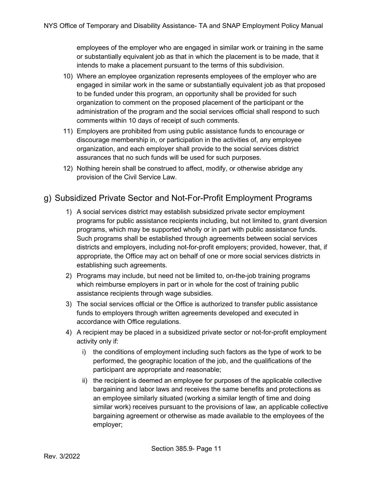employees of the employer who are engaged in similar work or training in the same or substantially equivalent job as that in which the placement is to be made, that it intends to make a placement pursuant to the terms of this subdivision.

- 10) Where an employee organization represents employees of the employer who are engaged in similar work in the same or substantially equivalent job as that proposed to be funded under this program, an opportunity shall be provided for such organization to comment on the proposed placement of the participant or the administration of the program and the social services official shall respond to such comments within 10 days of receipt of such comments.
- 11) Employers are prohibited from using public assistance funds to encourage or discourage membership in, or participation in the activities of, any employee organization, and each employer shall provide to the social services district assurances that no such funds will be used for such purposes.
- 12) Nothing herein shall be construed to affect, modify, or otherwise abridge any provision of the Civil Service Law.

### <span id="page-10-0"></span>g) Subsidized Private Sector and Not-For-Profit Employment Programs

- 1) A social services district may establish subsidized private sector employment programs for public assistance recipients including, but not limited to, grant diversion programs, which may be supported wholly or in part with public assistance funds. Such programs shall be established through agreements between social services districts and employers, including not-for-profit employers; provided, however, that, if appropriate, the Office may act on behalf of one or more social services districts in establishing such agreements.
- 2) Programs may include, but need not be limited to, on-the-job training programs which reimburse employers in part or in whole for the cost of training public assistance recipients through wage subsidies.
- 3) The social services official or the Office is authorized to transfer public assistance funds to employers through written agreements developed and executed in accordance with Office regulations.
- 4) A recipient may be placed in a subsidized private sector or not-for-profit employment activity only if:
	- i) the conditions of employment including such factors as the type of work to be performed, the geographic location of the job, and the qualifications of the participant are appropriate and reasonable;
	- ii) the recipient is deemed an employee for purposes of the applicable collective bargaining and labor laws and receives the same benefits and protections as an employee similarly situated (working a similar length of time and doing similar work) receives pursuant to the provisions of law, an applicable collective bargaining agreement or otherwise as made available to the employees of the employer;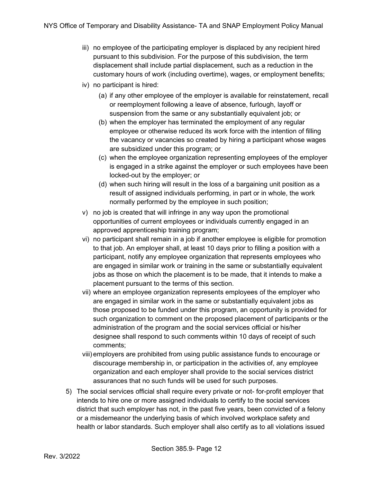- iii) no employee of the participating employer is displaced by any recipient hired pursuant to this subdivision. For the purpose of this subdivision, the term displacement shall include partial displacement, such as a reduction in the customary hours of work (including overtime), wages, or employment benefits;
- iv) no participant is hired:
	- (a) if any other employee of the employer is available for reinstatement, recall or reemployment following a leave of absence, furlough, layoff or suspension from the same or any substantially equivalent job; or
	- (b) when the employer has terminated the employment of any regular employee or otherwise reduced its work force with the intention of filling the vacancy or vacancies so created by hiring a participant whose wages are subsidized under this program; or
	- (c) when the employee organization representing employees of the employer is engaged in a strike against the employer or such employees have been locked-out by the employer; or
	- (d) when such hiring will result in the loss of a bargaining unit position as a result of assigned individuals performing, in part or in whole, the work normally performed by the employee in such position;
- v) no job is created that will infringe in any way upon the promotional opportunities of current employees or individuals currently engaged in an approved apprenticeship training program;
- vi) no participant shall remain in a job if another employee is eligible for promotion to that job. An employer shall, at least 10 days prior to filling a position with a participant, notify any employee organization that represents employees who are engaged in similar work or training in the same or substantially equivalent jobs as those on which the placement is to be made, that it intends to make a placement pursuant to the terms of this section.
- vii) where an employee organization represents employees of the employer who are engaged in similar work in the same or substantially equivalent jobs as those proposed to be funded under this program, an opportunity is provided for such organization to comment on the proposed placement of participants or the administration of the program and the social services official or his/her designee shall respond to such comments within 10 days of receipt of such comments;
- viii) employers are prohibited from using public assistance funds to encourage or discourage membership in, or participation in the activities of, any employee organization and each employer shall provide to the social services district assurances that no such funds will be used for such purposes.
- 5) The social services official shall require every private or not- for-profit employer that intends to hire one or more assigned individuals to certify to the social services district that such employer has not, in the past five years, been convicted of a felony or a misdemeanor the underlying basis of which involved workplace safety and health or labor standards. Such employer shall also certify as to all violations issued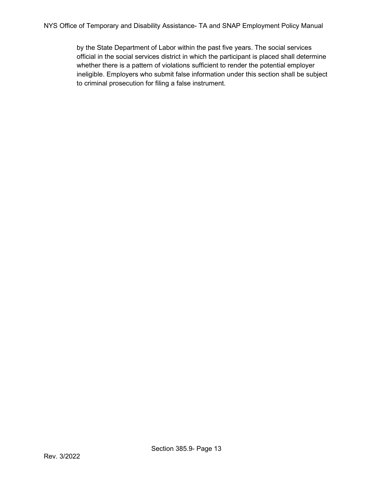by the State Department of Labor within the past five years. The social services official in the social services district in which the participant is placed shall determine whether there is a pattern of violations sufficient to render the potential employer ineligible. Employers who submit false information under this section shall be subject to criminal prosecution for filing a false instrument.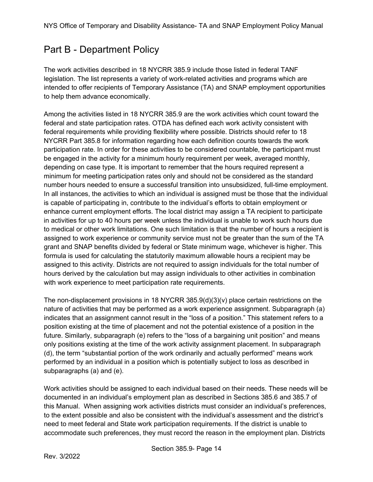# <span id="page-13-0"></span>Part B - Department Policy

The work activities described in 18 NYCRR 385.9 include those listed in federal TANF legislation. The list represents a variety of work-related activities and programs which are intended to offer recipients of Temporary Assistance (TA) and SNAP employment opportunities to help them advance economically.

Among the activities listed in 18 NYCRR 385.9 are the work activities which count toward the federal and state participation rates. OTDA has defined each work activity consistent with federal requirements while providing flexibility where possible. Districts should refer to 18 NYCRR Part 385.8 for information regarding how each definition counts towards the work participation rate. In order for these activities to be considered countable, the participant must be engaged in the activity for a minimum hourly requirement per week, averaged monthly, depending on case type. It is important to remember that the hours required represent a minimum for meeting participation rates only and should not be considered as the standard number hours needed to ensure a successful transition into unsubsidized, full-time employment. In all instances, the activities to which an individual is assigned must be those that the individual is capable of participating in, contribute to the individual's efforts to obtain employment or enhance current employment efforts. The local district may assign a TA recipient to participate in activities for up to 40 hours per week unless the individual is unable to work such hours due to medical or other work limitations. One such limitation is that the number of hours a recipient is assigned to work experience or community service must not be greater than the sum of the TA grant and SNAP benefits divided by federal or State minimum wage, whichever is higher. This formula is used for calculating the statutorily maximum allowable hours a recipient may be assigned to this activity. Districts are not required to assign individuals for the total number of hours derived by the calculation but may assign individuals to other activities in combination with work experience to meet participation rate requirements.

The non-displacement provisions in 18 NYCRR 385.9(d)(3)(v) place certain restrictions on the nature of activities that may be performed as a work experience assignment. Subparagraph (a) indicates that an assignment cannot result in the "loss of a position." This statement refers to a position existing at the time of placement and not the potential existence of a position in the future. Similarly, subparagraph (e) refers to the "loss of a bargaining unit position" and means only positions existing at the time of the work activity assignment placement. In subparagraph (d), the term "substantial portion of the work ordinarily and actually performed" means work performed by an individual in a position which is potentially subject to loss as described in subparagraphs (a) and (e).

Work activities should be assigned to each individual based on their needs. These needs will be documented in an individual's employment plan as described in Sections 385.6 and 385.7 of this Manual. When assigning work activities districts must consider an individual's preferences, to the extent possible and also be consistent with the individual's assessment and the district's need to meet federal and State work participation requirements. If the district is unable to accommodate such preferences, they must record the reason in the employment plan. Districts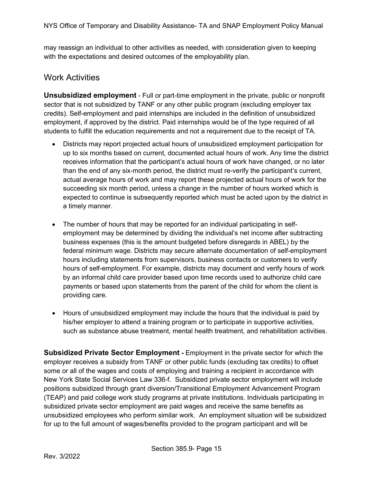may reassign an individual to other activities as needed, with consideration given to keeping with the expectations and desired outcomes of the employability plan.

### <span id="page-14-0"></span>Work Activities

<span id="page-14-1"></span>**Unsubsidized employment** - Full or part-time employment in the private, public or nonprofit sector that is not subsidized by TANF or any other public program (excluding employer tax credits). Self-employment and paid internships are included in the definition of unsubsidized employment, if approved by the district. Paid internships would be of the type required of all students to fulfill the education requirements and not a requirement due to the receipt of TA.

- Districts may report projected actual hours of unsubsidized employment participation for up to six months based on current, documented actual hours of work. Any time the district receives information that the participant's actual hours of work have changed, or no later than the end of any six-month period, the district must re-verify the participant's current, actual average hours of work and may report these projected actual hours of work for the succeeding six month period, unless a change in the number of hours worked which is expected to continue is subsequently reported which must be acted upon by the district in a timely manner.
- The number of hours that may be reported for an individual participating in selfemployment may be determined by dividing the individual's net income after subtracting business expenses (this is the amount budgeted before disregards in ABEL) by the federal minimum wage. Districts may secure alternate documentation of self-employment hours including statements from supervisors, business contacts or customers to verify hours of self-employment. For example, districts may document and verify hours of work by an informal child care provider based upon time records used to authorize child care payments or based upon statements from the parent of the child for whom the client is providing care.
- Hours of unsubsidized employment may include the hours that the individual is paid by his/her employer to attend a training program or to participate in supportive activities, such as substance abuse treatment, mental health treatment, and rehabilitation activities.

<span id="page-14-2"></span>**Subsidized Private Sector Employment** - Employment in the private sector for which the employer receives a subsidy from TANF or other public funds (excluding tax credits) to offset some or all of the wages and costs of employing and training a recipient in accordance with New York State Social Services Law 336-f. Subsidized private sector employment will include positions subsidized through grant diversion/Transitional Employment Advancement Program (TEAP) and paid college work study programs at private institutions. Individuals participating in subsidized private sector employment are paid wages and receive the same benefits as unsubsidized employees who perform similar work. An employment situation will be subsidized for up to the full amount of wages/benefits provided to the program participant and will be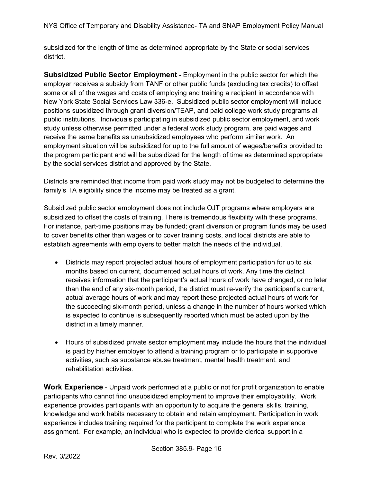subsidized for the length of time as determined appropriate by the State or social services district.

<span id="page-15-0"></span>**Subsidized Public Sector Employment** - Employment in the public sector for which the employer receives a subsidy from TANF or other public funds (excluding tax credits) to offset some or all of the wages and costs of employing and training a recipient in accordance with New York State Social Services Law 336-e. Subsidized public sector employment will include positions subsidized through grant diversion/TEAP, and paid college work study programs at public institutions. Individuals participating in subsidized public sector employment, and work study unless otherwise permitted under a federal work study program, are paid wages and receive the same benefits as unsubsidized employees who perform similar work. An employment situation will be subsidized for up to the full amount of wages/benefits provided to the program participant and will be subsidized for the length of time as determined appropriate by the social services district and approved by the State.

Districts are reminded that income from paid work study may not be budgeted to determine the family's TA eligibility since the income may be treated as a grant.

Subsidized public sector employment does not include OJT programs where employers are subsidized to offset the costs of training. There is tremendous flexibility with these programs. For instance, part-time positions may be funded; grant diversion or program funds may be used to cover benefits other than wages or to cover training costs, and local districts are able to establish agreements with employers to better match the needs of the individual.

- Districts may report projected actual hours of employment participation for up to six months based on current, documented actual hours of work. Any time the district receives information that the participant's actual hours of work have changed, or no later than the end of any six-month period, the district must re-verify the participant's current, actual average hours of work and may report these projected actual hours of work for the succeeding six-month period, unless a change in the number of hours worked which is expected to continue is subsequently reported which must be acted upon by the district in a timely manner.
- Hours of subsidized private sector employment may include the hours that the individual is paid by his/her employer to attend a training program or to participate in supportive activities, such as substance abuse treatment, mental health treatment, and rehabilitation activities.

<span id="page-15-1"></span>**Work Experience** - Unpaid work performed at a public or not for profit organization to enable participants who cannot find unsubsidized employment to improve their employability. Work experience provides participants with an opportunity to acquire the general skills, training, knowledge and work habits necessary to obtain and retain employment. Participation in work experience includes training required for the participant to complete the work experience assignment. For example, an individual who is expected to provide clerical support in a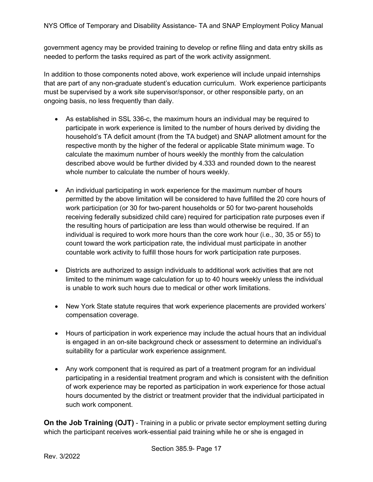government agency may be provided training to develop or refine filing and data entry skills as needed to perform the tasks required as part of the work activity assignment.

In addition to those components noted above, work experience will include unpaid internships that are part of any non-graduate student's education curriculum. Work experience participants must be supervised by a work site supervisor/sponsor, or other responsible party, on an ongoing basis, no less frequently than daily.

- As established in SSL 336-c, the maximum hours an individual may be required to participate in work experience is limited to the number of hours derived by dividing the household's TA deficit amount (from the TA budget) and SNAP allotment amount for the respective month by the higher of the federal or applicable State minimum wage. To calculate the maximum number of hours weekly the monthly from the calculation described above would be further divided by 4.333 and rounded down to the nearest whole number to calculate the number of hours weekly.
- An individual participating in work experience for the maximum number of hours permitted by the above limitation will be considered to have fulfilled the 20 core hours of work participation (or 30 for two-parent households or 50 for two-parent households receiving federally subsidized child care) required for participation rate purposes even if the resulting hours of participation are less than would otherwise be required. If an individual is required to work more hours than the core work hour (i.e., 30, 35 or 55) to count toward the work participation rate, the individual must participate in another countable work activity to fulfill those hours for work participation rate purposes.
- Districts are authorized to assign individuals to additional work activities that are not limited to the minimum wage calculation for up to 40 hours weekly unless the individual is unable to work such hours due to medical or other work limitations.
- New York State statute requires that work experience placements are provided workers' compensation coverage.
- Hours of participation in work experience may include the actual hours that an individual is engaged in an on-site background check or assessment to determine an individual's suitability for a particular work experience assignment.
- Any work component that is required as part of a treatment program for an individual participating in a residential treatment program and which is consistent with the definition of work experience may be reported as participation in work experience for those actual hours documented by the district or treatment provider that the individual participated in such work component.

<span id="page-16-0"></span>**On the Job Training (OJT)** - Training in a public or private sector employment setting during which the participant receives work-essential paid training while he or she is engaged in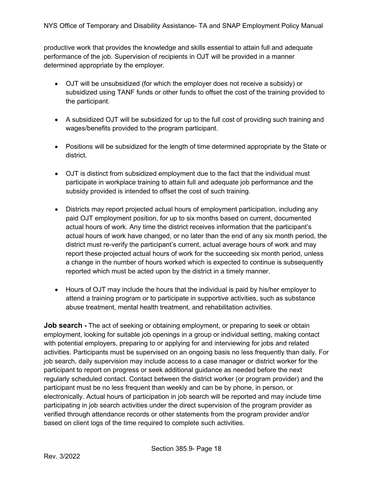productive work that provides the knowledge and skills essential to attain full and adequate performance of the job. Supervision of recipients in OJT will be provided in a manner determined appropriate by the employer.

- OJT will be unsubsidized (for which the employer does not receive a subsidy) or subsidized using TANF funds or other funds to offset the cost of the training provided to the participant.
- A subsidized OJT will be subsidized for up to the full cost of providing such training and wages/benefits provided to the program participant.
- Positions will be subsidized for the length of time determined appropriate by the State or district.
- OJT is distinct from subsidized employment due to the fact that the individual must participate in workplace training to attain full and adequate job performance and the subsidy provided is intended to offset the cost of such training.
- Districts may report projected actual hours of employment participation, including any paid OJT employment position, for up to six months based on current, documented actual hours of work. Any time the district receives information that the participant's actual hours of work have changed, or no later than the end of any six month period, the district must re-verify the participant's current, actual average hours of work and may report these projected actual hours of work for the succeeding six month period, unless a change in the number of hours worked which is expected to continue is subsequently reported which must be acted upon by the district in a timely manner.
- Hours of OJT may include the hours that the individual is paid by his/her employer to attend a training program or to participate in supportive activities, such as substance abuse treatment, mental health treatment, and rehabilitation activities.

<span id="page-17-0"></span>**Job search** - The act of seeking or obtaining employment, or preparing to seek or obtain employment, looking for suitable job openings in a group or individual setting, making contact with potential employers, preparing to or applying for and interviewing for jobs and related activities. Participants must be supervised on an ongoing basis no less frequently than daily. For job search, daily supervision may include access to a case manager or district worker for the participant to report on progress or seek additional guidance as needed before the next regularly scheduled contact. Contact between the district worker (or program provider) and the participant must be no less frequent than weekly and can be by phone, in person, or electronically. Actual hours of participation in job search will be reported and may include time participating in job search activities under the direct supervision of the program provider as verified through attendance records or other statements from the program provider and/or based on client logs of the time required to complete such activities.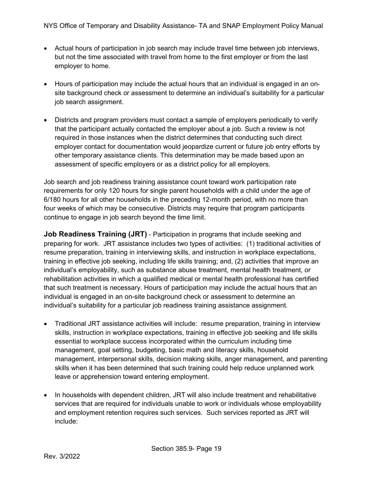- Actual hours of participation in job search may include travel time between job interviews, but not the time associated with travel from home to the first employer or from the last employer to home.
- Hours of participation may include the actual hours that an individual is engaged in an onsite background check or assessment to determine an individual's suitability for a particular job search assignment.
- Districts and program providers must contact a sample of employers periodically to verify that the participant actually contacted the employer about a job. Such a review is not required in those instances when the district determines that conducting such direct employer contact for documentation would jeopardize current or future job entry efforts by other temporary assistance clients. This determination may be made based upon an assessment of specific employers or as a district policy for all employers.

Job search and job readiness training assistance count toward work participation rate requirements for only 120 hours for single parent households with a child under the age of 6/180 hours for all other households in the preceding 12-month period, with no more than four weeks of which may be consecutive. Districts may require that program participants continue to engage in job search beyond the time limit.

<span id="page-18-0"></span>**Job Readiness Training (JRT)** - Participation in programs that include seeking and preparing for work. JRT assistance includes two types of activities: (1) traditional activities of resume preparation, training in interviewing skills, and instruction in workplace expectations, training in effective job seeking, including life skills training; and, (2) activities that improve an individual's employability, such as substance abuse treatment, mental health treatment, or rehabilitation activities in which a qualified medical or mental health professional has certified that such treatment is necessary. Hours of participation may include the actual hours that an individual is engaged in an on-site background check or assessment to determine an individual's suitability for a particular job readiness training assistance assignment.

- Traditional JRT assistance activities will include: resume preparation, training in interview skills, instruction in workplace expectations, training in effective job seeking and life skills essential to workplace success incorporated within the curriculum including time management, goal setting, budgeting, basic math and literacy skills, household management, interpersonal skills, decision making skills, anger management, and parenting skills when it has been determined that such training could help reduce unplanned work leave or apprehension toward entering employment.
- In households with dependent children, JRT will also include treatment and rehabilitative services that are required for individuals unable to work or individuals whose employability and employment retention requires such services. Such services reported as JRT will include: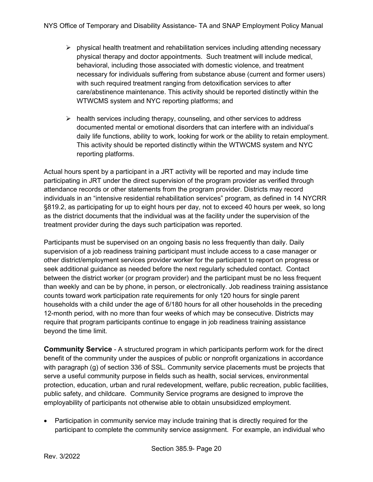- $\triangleright$  physical health treatment and rehabilitation services including attending necessary physical therapy and doctor appointments. Such treatment will include medical, behavioral, including those associated with domestic violence, and treatment necessary for individuals suffering from substance abuse (current and former users) with such required treatment ranging from detoxification services to after care/abstinence maintenance. This activity should be reported distinctly within the WTWCMS system and NYC reporting platforms; and
- $\triangleright$  health services including therapy, counseling, and other services to address documented mental or emotional disorders that can interfere with an individual's daily life functions, ability to work, looking for work or the ability to retain employment. This activity should be reported distinctly within the WTWCMS system and NYC reporting platforms.

Actual hours spent by a participant in a JRT activity will be reported and may include time participating in JRT under the direct supervision of the program provider as verified through attendance records or other statements from the program provider. Districts may record individuals in an "intensive residential rehabilitation services" program, as defined in 14 NYCRR §819.2, as participating for up to eight hours per day, not to exceed 40 hours per week, so long as the district documents that the individual was at the facility under the supervision of the treatment provider during the days such participation was reported.

Participants must be supervised on an ongoing basis no less frequently than daily. Daily supervision of a job readiness training participant must include access to a case manager or other district/employment services provider worker for the participant to report on progress or seek additional guidance as needed before the next regularly scheduled contact. Contact between the district worker (or program provider) and the participant must be no less frequent than weekly and can be by phone, in person, or electronically. Job readiness training assistance counts toward work participation rate requirements for only 120 hours for single parent households with a child under the age of 6/180 hours for all other households in the preceding 12-month period, with no more than four weeks of which may be consecutive. Districts may require that program participants continue to engage in job readiness training assistance beyond the time limit.

<span id="page-19-0"></span>**Community Service** - A structured program in which participants perform work for the direct benefit of the community under the auspices of public or nonprofit organizations in accordance with paragraph (g) of section 336 of SSL. Community service placements must be projects that serve a useful community purpose in fields such as health, social services, environmental protection, education, urban and rural redevelopment, welfare, public recreation, public facilities, public safety, and childcare. Community Service programs are designed to improve the employability of participants not otherwise able to obtain unsubsidized employment.

• Participation in community service may include training that is directly required for the participant to complete the community service assignment. For example, an individual who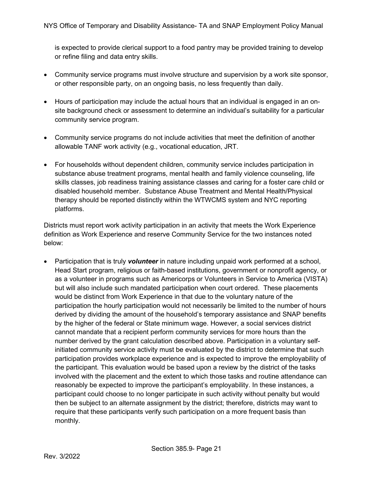is expected to provide clerical support to a food pantry may be provided training to develop or refine filing and data entry skills.

- Community service programs must involve structure and supervision by a work site sponsor, or other responsible party, on an ongoing basis, no less frequently than daily.
- Hours of participation may include the actual hours that an individual is engaged in an onsite background check or assessment to determine an individual's suitability for a particular community service program.
- Community service programs do not include activities that meet the definition of another allowable TANF work activity (e.g., vocational education, JRT.
- For households without dependent children, community service includes participation in substance abuse treatment programs, mental health and family violence counseling, life skills classes, job readiness training assistance classes and caring for a foster care child or disabled household member. Substance Abuse Treatment and Mental Health/Physical therapy should be reported distinctly within the WTWCMS system and NYC reporting platforms.

Districts must report work activity participation in an activity that meets the Work Experience definition as Work Experience and reserve Community Service for the two instances noted below:

• Participation that is truly *volunteer* in nature including unpaid work performed at a school, Head Start program, religious or faith-based institutions, government or nonprofit agency, or as a volunteer in programs such as Americorps or Volunteers in Service to America (VISTA) but will also include such mandated participation when court ordered. These placements would be distinct from Work Experience in that due to the voluntary nature of the participation the hourly participation would not necessarily be limited to the number of hours derived by dividing the amount of the household's temporary assistance and SNAP benefits by the higher of the federal or State minimum wage. However, a social services district cannot mandate that a recipient perform community services for more hours than the number derived by the grant calculation described above. Participation in a voluntary selfinitiated community service activity must be evaluated by the district to determine that such participation provides workplace experience and is expected to improve the employability of the participant. This evaluation would be based upon a review by the district of the tasks involved with the placement and the extent to which those tasks and routine attendance can reasonably be expected to improve the participant's employability. In these instances, a participant could choose to no longer participate in such activity without penalty but would then be subject to an alternate assignment by the district; therefore, districts may want to require that these participants verify such participation on a more frequent basis than monthly.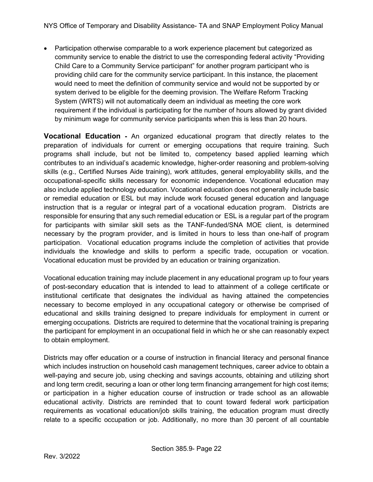• Participation otherwise comparable to a work experience placement but categorized as community service to enable the district to use the corresponding federal activity "Providing Child Care to a Community Service participant" for another program participant who is providing child care for the community service participant. In this instance, the placement would need to meet the definition of community service and would not be supported by or system derived to be eligible for the deeming provision. The Welfare Reform Tracking System (WRTS) will not automatically deem an individual as meeting the core work requirement if the individual is participating for the number of hours allowed by grant divided by minimum wage for community service participants when this is less than 20 hours.

<span id="page-21-0"></span>**Vocational Education -** An organized educational program that directly relates to the preparation of individuals for current or emerging occupations that require training. Such programs shall include, but not be limited to, competency based applied learning which contributes to an individual's academic knowledge, higher-order reasoning and problem-solving skills (e.g., Certified Nurses Aide training), work attitudes, general employability skills, and the occupational-specific skills necessary for economic independence. Vocational education may also include applied technology education. Vocational education does not generally include basic or remedial education or ESL but may include work focused general education and language instruction that is a regular or integral part of a vocational education program. Districts are responsible for ensuring that any such remedial education or ESL is a regular part of the program for participants with similar skill sets as the TANF-funded/SNA MOE client, is determined necessary by the program provider, and is limited in hours to less than one-half of program participation. Vocational education programs include the completion of activities that provide individuals the knowledge and skills to perform a specific trade, occupation or vocation. Vocational education must be provided by an education or training organization.

Vocational education training may include placement in any educational program up to four years of post-secondary education that is intended to lead to attainment of a college certificate or institutional certificate that designates the individual as having attained the competencies necessary to become employed in any occupational category or otherwise be comprised of educational and skills training designed to prepare individuals for employment in current or emerging occupations. Districts are required to determine that the vocational training is preparing the participant for employment in an occupational field in which he or she can reasonably expect to obtain employment.

Districts may offer education or a course of instruction in financial literacy and personal finance which includes instruction on household cash management techniques, career advice to obtain a well-paying and secure job, using checking and savings accounts, obtaining and utilizing short and long term credit, securing a loan or other long term financing arrangement for high cost items; or participation in a higher education course of instruction or trade school as an allowable educational activity. Districts are reminded that to count toward federal work participation requirements as vocational education/job skills training, the education program must directly relate to a specific occupation or job. Additionally, no more than 30 percent of all countable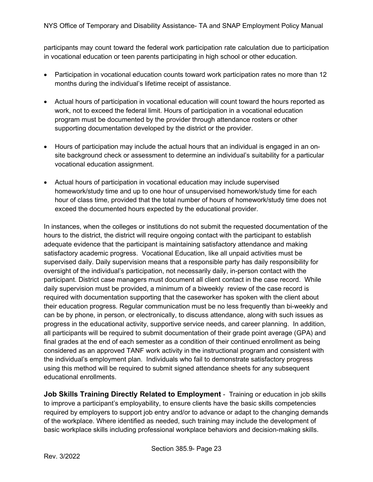participants may count toward the federal work participation rate calculation due to participation in vocational education or teen parents participating in high school or other education.

- Participation in vocational education counts toward work participation rates no more than 12 months during the individual's lifetime receipt of assistance.
- Actual hours of participation in vocational education will count toward the hours reported as work, not to exceed the federal limit. Hours of participation in a vocational education program must be documented by the provider through attendance rosters or other supporting documentation developed by the district or the provider.
- Hours of participation may include the actual hours that an individual is engaged in an onsite background check or assessment to determine an individual's suitability for a particular vocational education assignment.
- Actual hours of participation in vocational education may include supervised homework/study time and up to one hour of unsupervised homework/study time for each hour of class time, provided that the total number of hours of homework/study time does not exceed the documented hours expected by the educational provider.

In instances, when the colleges or institutions do not submit the requested documentation of the hours to the district, the district will require ongoing contact with the participant to establish adequate evidence that the participant is maintaining satisfactory attendance and making satisfactory academic progress. Vocational Education, like all unpaid activities must be supervised daily. Daily supervision means that a responsible party has daily responsibility for oversight of the individual's participation, not necessarily daily, in-person contact with the participant. District case managers must document all client contact in the case record. While daily supervision must be provided, a minimum of a biweekly review of the case record is required with documentation supporting that the caseworker has spoken with the client about their education progress. Regular communication must be no less frequently than bi-weekly and can be by phone, in person, or electronically, to discuss attendance, along with such issues as progress in the educational activity, supportive service needs, and career planning. In addition, all participants will be required to submit documentation of their grade point average (GPA) and final grades at the end of each semester as a condition of their continued enrollment as being considered as an approved TANF work activity in the instructional program and consistent with the individual's employment plan. Individuals who fail to demonstrate satisfactory progress using this method will be required to submit signed attendance sheets for any subsequent educational enrollments.

<span id="page-22-0"></span>**Job Skills Training Directly Related to Employment** - Training or education in job skills to improve a participant's employability, to ensure clients have the basic skills competencies required by employers to support job entry and/or to advance or adapt to the changing demands of the workplace. Where identified as needed, such training may include the development of basic workplace skills including professional workplace behaviors and decision-making skills.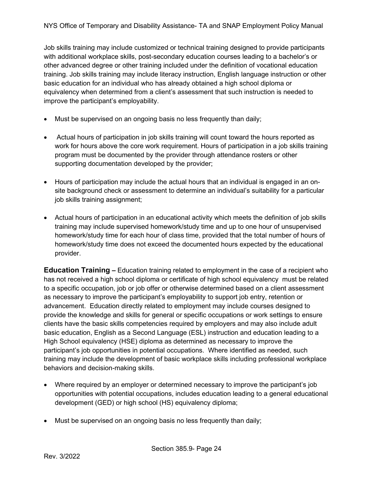Job skills training may include customized or technical training designed to provide participants with additional workplace skills, post-secondary education courses leading to a bachelor's or other advanced degree or other training included under the definition of vocational education training. Job skills training may include literacy instruction, English language instruction or other basic education for an individual who has already obtained a high school diploma or equivalency when determined from a client's assessment that such instruction is needed to improve the participant's employability.

- Must be supervised on an ongoing basis no less frequently than daily;
- Actual hours of participation in job skills training will count toward the hours reported as work for hours above the core work requirement. Hours of participation in a job skills training program must be documented by the provider through attendance rosters or other supporting documentation developed by the provider;
- Hours of participation may include the actual hours that an individual is engaged in an onsite background check or assessment to determine an individual's suitability for a particular job skills training assignment;
- Actual hours of participation in an educational activity which meets the definition of job skills training may include supervised homework/study time and up to one hour of unsupervised homework/study time for each hour of class time, provided that the total number of hours of homework/study time does not exceed the documented hours expected by the educational provider.

<span id="page-23-0"></span>**Education Training –** Education training related to employment in the case of a recipient who has not received a high school diploma or certificate of high school equivalency must be related to a specific occupation, job or job offer or otherwise determined based on a client assessment as necessary to improve the participant's employability to support job entry, retention or advancement. Education directly related to employment may include courses designed to provide the knowledge and skills for general or specific occupations or work settings to ensure clients have the basic skills competencies required by employers and may also include adult basic education, English as a Second Language (ESL) instruction and education leading to a High School equivalency (HSE) diploma as determined as necessary to improve the participant's job opportunities in potential occupations. Where identified as needed, such training may include the development of basic workplace skills including professional workplace behaviors and decision-making skills.

- Where required by an employer or determined necessary to improve the participant's job opportunities with potential occupations, includes education leading to a general educational development (GED) or high school (HS) equivalency diploma;
- Must be supervised on an ongoing basis no less frequently than daily;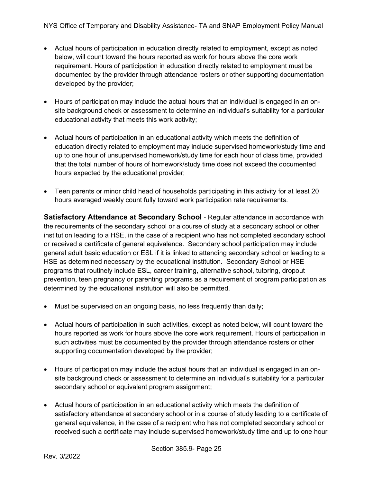- Actual hours of participation in education directly related to employment, except as noted below, will count toward the hours reported as work for hours above the core work requirement. Hours of participation in education directly related to employment must be documented by the provider through attendance rosters or other supporting documentation developed by the provider;
- Hours of participation may include the actual hours that an individual is engaged in an onsite background check or assessment to determine an individual's suitability for a particular educational activity that meets this work activity;
- Actual hours of participation in an educational activity which meets the definition of education directly related to employment may include supervised homework/study time and up to one hour of unsupervised homework/study time for each hour of class time, provided that the total number of hours of homework/study time does not exceed the documented hours expected by the educational provider;
- Teen parents or minor child head of households participating in this activity for at least 20 hours averaged weekly count fully toward work participation rate requirements.

<span id="page-24-0"></span>**Satisfactory Attendance at Secondary School** - Regular attendance in accordance with the requirements of the secondary school or a course of study at a secondary school or other institution leading to a HSE, in the case of a recipient who has not completed secondary school or received a certificate of general equivalence. Secondary school participation may include general adult basic education or ESL if it is linked to attending secondary school or leading to a HSE as determined necessary by the educational institution. Secondary School or HSE programs that routinely include ESL, career training, alternative school, tutoring, dropout prevention, teen pregnancy or parenting programs as a requirement of program participation as determined by the educational institution will also be permitted.

- Must be supervised on an ongoing basis, no less frequently than daily;
- Actual hours of participation in such activities, except as noted below, will count toward the hours reported as work for hours above the core work requirement. Hours of participation in such activities must be documented by the provider through attendance rosters or other supporting documentation developed by the provider;
- Hours of participation may include the actual hours that an individual is engaged in an onsite background check or assessment to determine an individual's suitability for a particular secondary school or equivalent program assignment;
- Actual hours of participation in an educational activity which meets the definition of satisfactory attendance at secondary school or in a course of study leading to a certificate of general equivalence, in the case of a recipient who has not completed secondary school or received such a certificate may include supervised homework/study time and up to one hour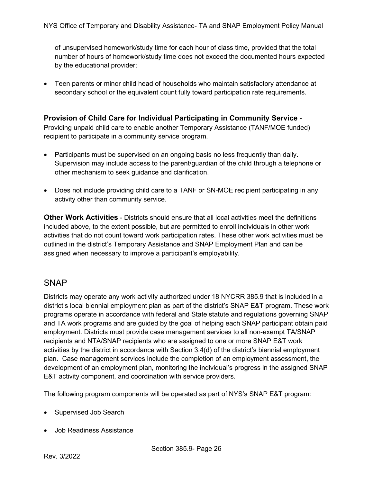of unsupervised homework/study time for each hour of class time, provided that the total number of hours of homework/study time does not exceed the documented hours expected by the educational provider;

• Teen parents or minor child head of households who maintain satisfactory attendance at secondary school or the equivalent count fully toward participation rate requirements.

#### <span id="page-25-0"></span>**Provision of Child Care for Individual Participating in Community Service -**

Providing unpaid child care to enable another Temporary Assistance (TANF/MOE funded) recipient to participate in a community service program.

- Participants must be supervised on an ongoing basis no less frequently than daily. Supervision may include access to the parent/guardian of the child through a telephone or other mechanism to seek guidance and clarification.
- Does not include providing child care to a TANF or SN-MOE recipient participating in any activity other than community service.

<span id="page-25-1"></span>**Other Work Activities** - Districts should ensure that all local activities meet the definitions included above, to the extent possible, but are permitted to enroll individuals in other work activities that do not count toward work participation rates. These other work activities must be outlined in the district's Temporary Assistance and SNAP Employment Plan and can be assigned when necessary to improve a participant's employability.

#### <span id="page-25-2"></span>**SNAP**

Districts may operate any work activity authorized under 18 NYCRR 385.9 that is included in a district's local biennial employment plan as part of the district's SNAP E&T program. These work programs operate in accordance with federal and State statute and regulations governing SNAP and TA work programs and are guided by the goal of helping each SNAP participant obtain paid employment. Districts must provide case management services to all non-exempt TA/SNAP recipients and NTA/SNAP recipients who are assigned to one or more SNAP E&T work activities by the district in accordance with Section 3.4(d) of the district's biennial employment plan. Case management services include the completion of an employment assessment, the development of an employment plan, monitoring the individual's progress in the assigned SNAP E&T activity component, and coordination with service providers.

The following program components will be operated as part of NYS's SNAP E&T program:

- Supervised Job Search
- Job Readiness Assistance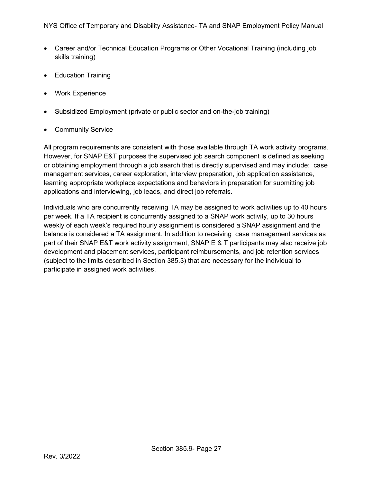- Career and/or Technical Education Programs or Other Vocational Training (including job skills training)
- Education Training
- Work Experience
- Subsidized Employment (private or public sector and on-the-job training)
- Community Service

All program requirements are consistent with those available through TA work activity programs. However, for SNAP E&T purposes the supervised job search component is defined as seeking or obtaining employment through a job search that is directly supervised and may include: case management services, career exploration, interview preparation, job application assistance, learning appropriate workplace expectations and behaviors in preparation for submitting job applications and interviewing, job leads, and direct job referrals.

Individuals who are concurrently receiving TA may be assigned to work activities up to 40 hours per week. If a TA recipient is concurrently assigned to a SNAP work activity, up to 30 hours weekly of each week's required hourly assignment is considered a SNAP assignment and the balance is considered a TA assignment. In addition to receiving case management services as part of their SNAP E&T work activity assignment, SNAP E & T participants may also receive job development and placement services, participant reimbursements, and job retention services (subject to the limits described in Section 385.3) that are necessary for the individual to participate in assigned work activities.